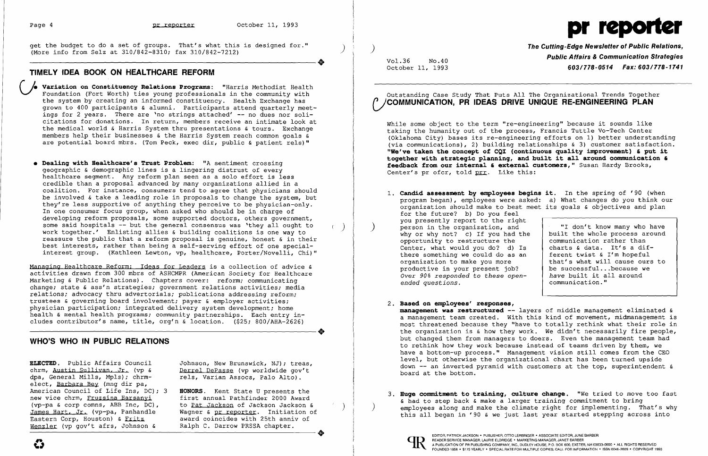get the budget to do a set of groups. That's what this is designed for."<br>(More info from Selz at 310/842-8310; fax 310/842-7212)<br>TIMELY IDEA ROOK ON HEALTHCARE REFORM

#### **TIMELY IDEA BOOK ON HEALTHCARE REFORM**

- Variation on Constituency Relations Programs: "Harris Methodist Health Foundation (Fort Worth) ties young professionals in the community with the system by creating an informed constituency. Health Exchange has grown to 400 participants & alumni. Participants attend quarterly meetings for 2 years. There are 'no strings attached' -- no dues nor solicitations for donations. In return, members receive an intimate look at the medical world & Harris System thru presentations & tours. Exchange members help their businesses & the Harris System reach common goals & are potential board mbrs. (Tom Peck, exec dir, public & patient rels)"
- **• Dealing with Healthcare's Trust Problem:** "A sentiment crossing geographic & demographic lines is a lingering distrust of every healthcare segment. Any reform plan seen as a solo effort is less credible than a proposal advanced by many organizations allied in a coalition. For instance, consumers tend to agree that physicians should be involved & take a leading role in proposals to change the system, but they're less supportive of anything they perceive to be physician-only. In one consumer focus group, when asked who should be in charge of developing reform proposals, some supported doctors, others government, some said hospitals -- but the general consensus was 'they all ought to work together.' Enlisting allies & building coalitions is one way to reassure the public that a reform proposal is genuine, honest & in their best interests, rather than being a self-serving effort of one specialinterest group. (Kathleen Lewton, vp, healthcare, Porter/Novelli, Chi)"

**ELECTED.** Public Affairs Council Johnson, New Brunswick, NJ): treas, dpa, General Mills, Mpls); chrmelect, Barbara Bey (mng dir pa, American Council of Life Ins, DC); 3 **HONORS**. Kent State U presents the new vice chrm, Fruzsina Harsanyi first annual Pathfinder 2000 Award new vice chrm, Fruzsina Harsanyi first annual Pathfinder 2000 Award James Hart. Jr. (vp-pa, Panhandle<br>Eastern Corp, Houston) & Fritz Eastern Corp, Houston) & Fritz award coincides with 25th anniv of Wenzler (vp gov't afrs, Johnson & Ralph C. Darrow PRSSA chapter.

Derrel DePasse (vp worldwide gov't<br>rels, Varian Assocs, Palo Alto).

## Outstanding Case Study That Puts All The Organizational Trends Together /COMMUNICATION, PR IDEAS DRIVE UNIQUE RE-ENGINEERING PLAN

Managing Healthcare Reform: Ideas for Leaders is a collection of advice & activities drawn from 300 mbrs of ASHCMPR (American Society for Healthcare Marketing & Public Relations). Chapters cover: reform; communicating change; state & ass'n strategies; government relations activities; media relations; advocacy thru advertorials; publications addressing reform; trustees & governing board involvement; payer & employer activities; physician participation; integrated delivery system development; home health & mental health programs; community partnerships. Each entry in-<br>cludes contributor's name, title, org'n & location. (\$25; 800/AHA-2626)<br>WHO'S WHO IN PIIBLIC RELATIONS cludes contributor's name, title, org'n & location. (\$25; 800/AHA-2626)

**management was restructured** -- layers of middle management eliminated & a management team created. With this kind of movement, midmanagement is most threatened because they "have to totally rethink what their role in the organization is & how they work. We didn't necessarily fire people, but changed them from managers to doers. Even the management team had to rethink how they work because instead of teams driven by them, we have a bottom-up process." Management vision still comes from the CEO level, but otherwise the organizational chart has been turned upside down  $--$  an inverted pyramid with customers at the top, superintendent  $\epsilon$ 

# **WHO'S WHO IN PUBLIC RELATIONS**

- 1. Candid assessment by employees bee program began), employees were as organization should make to best for the future? b) Do you feel you presently report to the right person in the organization, and why or why not? c) If you had the opportunity to restructure the Center, what would you do? d) I there something we could do as an organization to make you more productive in your present job? *Over 90% responded to these open ended questions.*
- 2. **Based on employees' responses,**  board at the bottom.
- 



3. **Huge commitment to training, culture change.** "We tried to move too fast & had to step back & make a larger training commitment to bring employees along and make the climate right for implementing. That's why this all began in '90 & we just last year started stepping across into

(vp-pa & corp comns, ABB Inc, DC), to <u>Pat Jackson</u> of Jackson Jackson & )<br>James Hart, Jr. (vp-pa, Panhandle ) Wagner & pr reporter. Initiation of ------------------------+ EDITOR, PATRICK JACKSON' PUBLISHER, orro LERBINGER • ASSOCIATE EDITOR, JUNE BARBER

# Page 4 **pr reporter** October 11, 1993

**The Cutting-Edge Newsletter of Public Relations,** ) Vol.36 No.40 **Public Affairs & Communication Strategies**<br>October 11, 1993 **Communication Strategies** October 11, 1993 **603/778-0514 Fax: 603/778-1741** 

|  | gins it. In the spring of '90 (when   |
|--|---------------------------------------|
|  | ked: a) What changes do you think our |
|  | meet its goals & objectives and plan  |

| ıt            |                                |
|---------------|--------------------------------|
|               | "I don't know many who have    |
| :he           | built the whole process around |
|               | communication rather than      |
| $\mathsf{ls}$ | charts & data. It's a dif-     |
| ın            | ferent twist & I'm hopeful     |
|               | that's what will cause ours to |
|               | be successfulbecause we        |
| : –           | have built it all around       |
|               | communication."                |
|               |                                |

While some object to the term "re-engineering" because it sounds like taking the humanity out of the process, Francis Tuttle Vo-Tech Center (Oklahoma City) bases its re-engineering efforts on 1) better understanding (via communications), 2) building relationships & 3) customer satisfaction. **"We've taken the concept of CQI (continuous quality inprovement) , put it**  together with strategic planning, and built it all around communication & feedback from our internal & external customers," Susan Hardy Brooks, Center's pr ofcr, told prr. Like this: